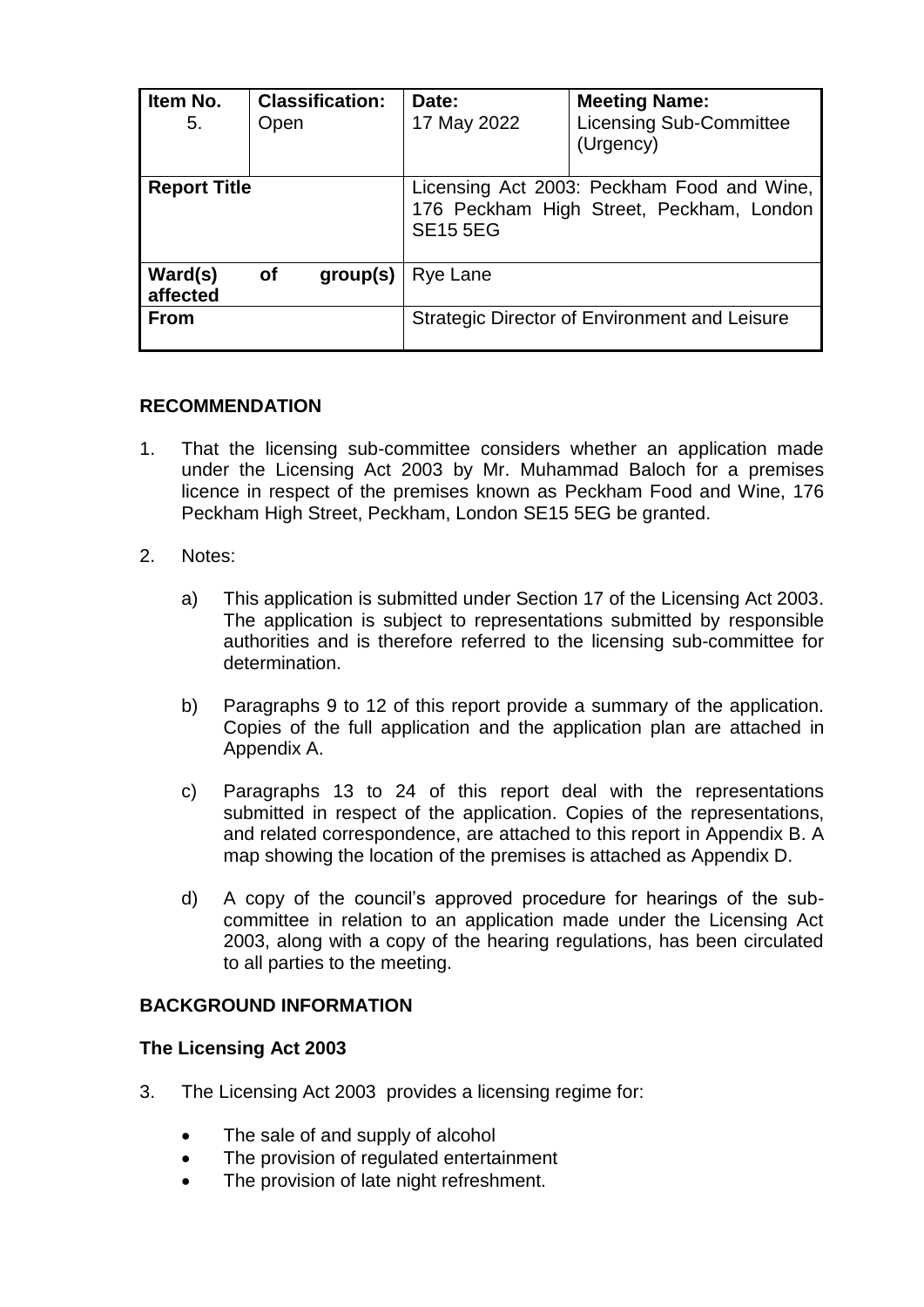| Item No.<br>5.      | Open      | <b>Classification:</b> | Date:<br>17 May 2022                                                                                      | <b>Meeting Name:</b><br><b>Licensing Sub-Committee</b><br>(Urgency) |
|---------------------|-----------|------------------------|-----------------------------------------------------------------------------------------------------------|---------------------------------------------------------------------|
| <b>Report Title</b> |           |                        | Licensing Act 2003: Peckham Food and Wine,<br>176 Peckham High Street, Peckham, London<br><b>SE15 5EG</b> |                                                                     |
| Ward(s)<br>affected | <b>of</b> | group(s)               | Rye Lane                                                                                                  |                                                                     |
| <b>From</b>         |           |                        | Strategic Director of Environment and Leisure                                                             |                                                                     |

## **RECOMMENDATION**

- 1. That the licensing sub-committee considers whether an application made under the Licensing Act 2003 by Mr. Muhammad Baloch for a premises licence in respect of the premises known as Peckham Food and Wine, 176 Peckham High Street, Peckham, London SE15 5EG be granted.
- 2. Notes:
	- a) This application is submitted under Section 17 of the Licensing Act 2003. The application is subject to representations submitted by responsible authorities and is therefore referred to the licensing sub-committee for determination.
	- b) Paragraphs 9 to 12 of this report provide a summary of the application. Copies of the full application and the application plan are attached in Appendix A.
	- c) Paragraphs 13 to 24 of this report deal with the representations submitted in respect of the application. Copies of the representations, and related correspondence, are attached to this report in Appendix B. A map showing the location of the premises is attached as Appendix D.
	- d) A copy of the council's approved procedure for hearings of the subcommittee in relation to an application made under the Licensing Act 2003, along with a copy of the hearing regulations, has been circulated to all parties to the meeting.

## **BACKGROUND INFORMATION**

## **The Licensing Act 2003**

- 3. The Licensing Act 2003 provides a licensing regime for:
	- The sale of and supply of alcohol
	- The provision of regulated entertainment
	- The provision of late night refreshment.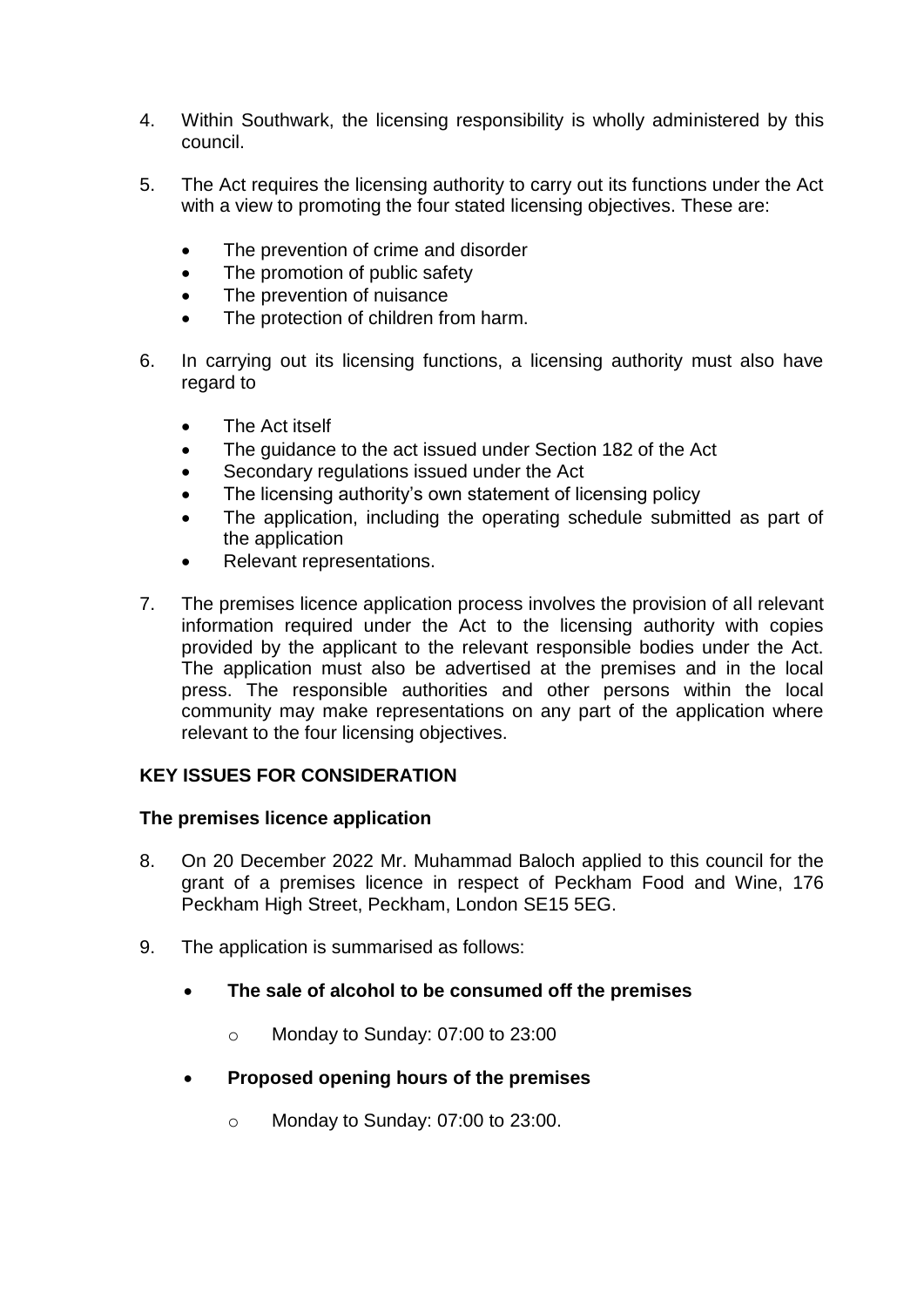- 4. Within Southwark, the licensing responsibility is wholly administered by this council.
- 5. The Act requires the licensing authority to carry out its functions under the Act with a view to promoting the four stated licensing objectives. These are:
	- The prevention of crime and disorder
	- The promotion of public safety
	- The prevention of nuisance
	- The protection of children from harm.
- 6. In carrying out its licensing functions, a licensing authority must also have regard to
	- The Act itself
	- The guidance to the act issued under Section 182 of the Act
	- Secondary regulations issued under the Act
	- The licensing authority's own statement of licensing policy
	- The application, including the operating schedule submitted as part of the application
	- Relevant representations.
- 7. The premises licence application process involves the provision of all relevant information required under the Act to the licensing authority with copies provided by the applicant to the relevant responsible bodies under the Act. The application must also be advertised at the premises and in the local press. The responsible authorities and other persons within the local community may make representations on any part of the application where relevant to the four licensing objectives.

## **KEY ISSUES FOR CONSIDERATION**

## **The premises licence application**

- 8. On 20 December 2022 Mr. Muhammad Baloch applied to this council for the grant of a premises licence in respect of Peckham Food and Wine, 176 Peckham High Street, Peckham, London SE15 5EG.
- 9. The application is summarised as follows:
	- **The sale of alcohol to be consumed off the premises**
		- o Monday to Sunday: 07:00 to 23:00
	- **Proposed opening hours of the premises** 
		- o Monday to Sunday: 07:00 to 23:00.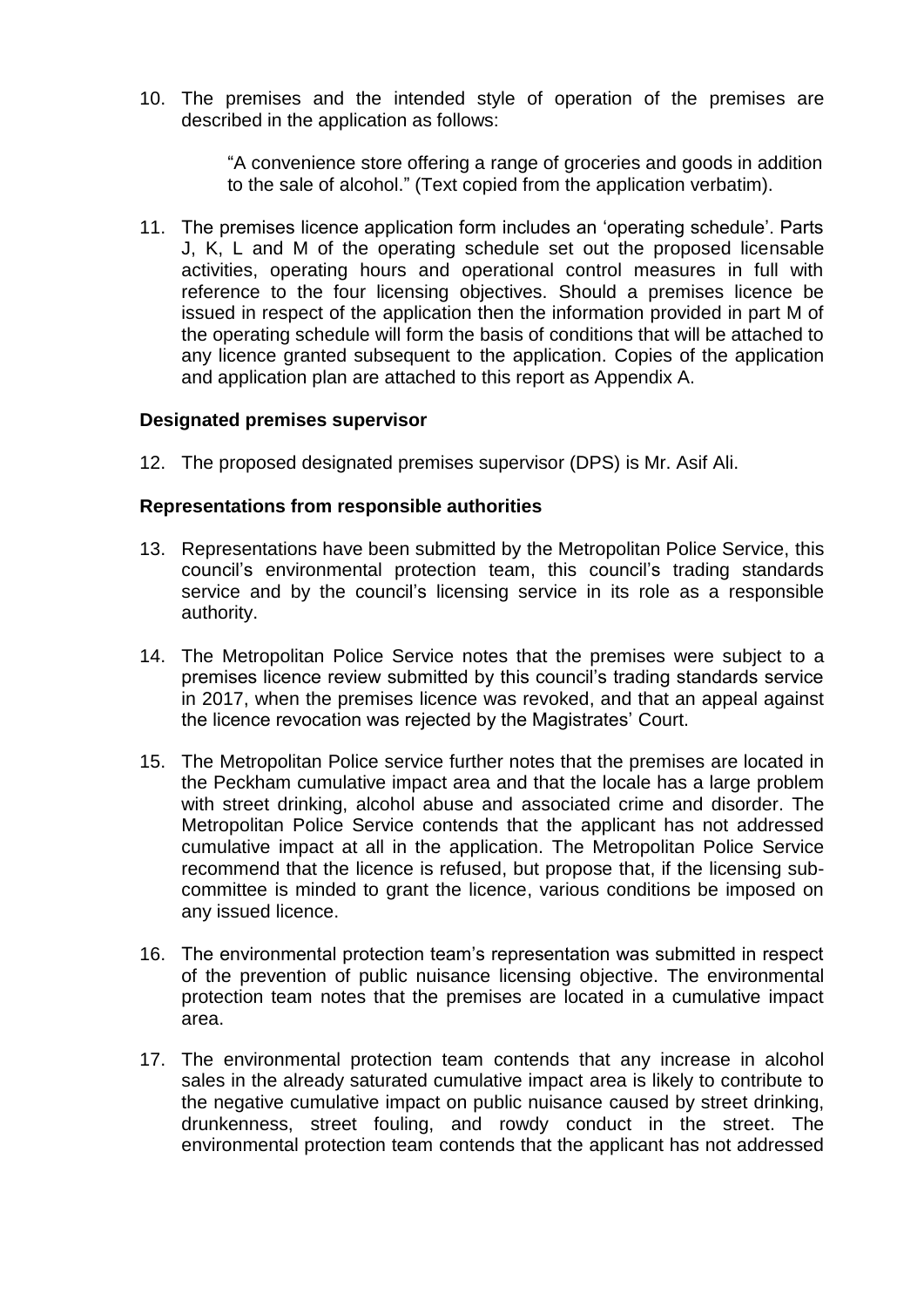10. The premises and the intended style of operation of the premises are described in the application as follows:

> "A convenience store offering a range of groceries and goods in addition to the sale of alcohol." (Text copied from the application verbatim).

11. The premises licence application form includes an 'operating schedule'. Parts J, K, L and M of the operating schedule set out the proposed licensable activities, operating hours and operational control measures in full with reference to the four licensing objectives. Should a premises licence be issued in respect of the application then the information provided in part M of the operating schedule will form the basis of conditions that will be attached to any licence granted subsequent to the application. Copies of the application and application plan are attached to this report as Appendix A.

#### **Designated premises supervisor**

12. The proposed designated premises supervisor (DPS) is Mr. Asif Ali.

#### **Representations from responsible authorities**

- 13. Representations have been submitted by the Metropolitan Police Service, this council's environmental protection team, this council's trading standards service and by the council's licensing service in its role as a responsible authority.
- 14. The Metropolitan Police Service notes that the premises were subject to a premises licence review submitted by this council's trading standards service in 2017, when the premises licence was revoked, and that an appeal against the licence revocation was rejected by the Magistrates' Court.
- 15. The Metropolitan Police service further notes that the premises are located in the Peckham cumulative impact area and that the locale has a large problem with street drinking, alcohol abuse and associated crime and disorder. The Metropolitan Police Service contends that the applicant has not addressed cumulative impact at all in the application. The Metropolitan Police Service recommend that the licence is refused, but propose that, if the licensing subcommittee is minded to grant the licence, various conditions be imposed on any issued licence.
- 16. The environmental protection team's representation was submitted in respect of the prevention of public nuisance licensing objective. The environmental protection team notes that the premises are located in a cumulative impact area.
- 17. The environmental protection team contends that any increase in alcohol sales in the already saturated cumulative impact area is likely to contribute to the negative cumulative impact on public nuisance caused by street drinking, drunkenness, street fouling, and rowdy conduct in the street. The environmental protection team contends that the applicant has not addressed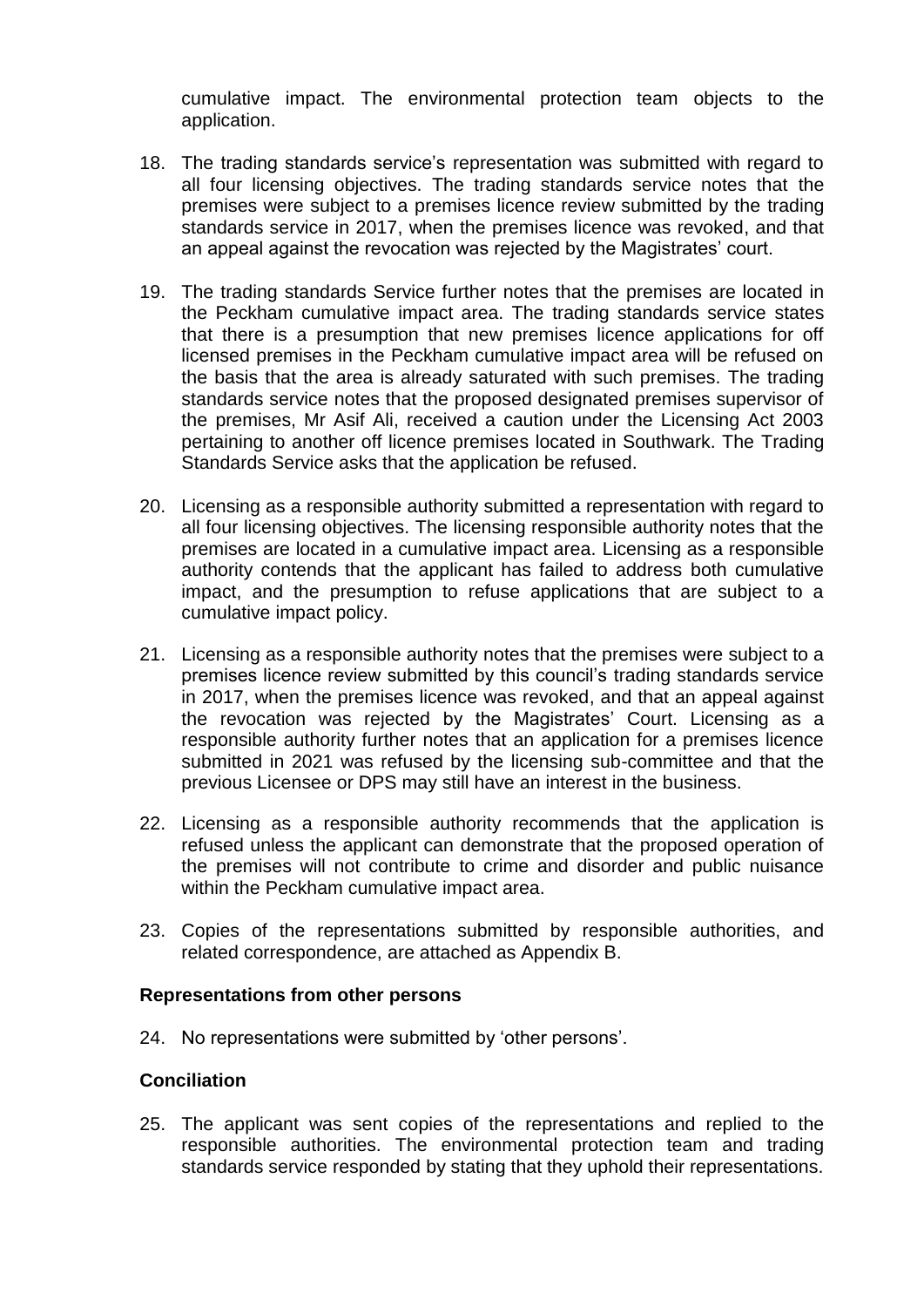cumulative impact. The environmental protection team objects to the application.

- 18. The trading standards service's representation was submitted with regard to all four licensing objectives. The trading standards service notes that the premises were subject to a premises licence review submitted by the trading standards service in 2017, when the premises licence was revoked, and that an appeal against the revocation was rejected by the Magistrates' court.
- 19. The trading standards Service further notes that the premises are located in the Peckham cumulative impact area. The trading standards service states that there is a presumption that new premises licence applications for off licensed premises in the Peckham cumulative impact area will be refused on the basis that the area is already saturated with such premises. The trading standards service notes that the proposed designated premises supervisor of the premises, Mr Asif Ali, received a caution under the Licensing Act 2003 pertaining to another off licence premises located in Southwark. The Trading Standards Service asks that the application be refused.
- 20. Licensing as a responsible authority submitted a representation with regard to all four licensing objectives. The licensing responsible authority notes that the premises are located in a cumulative impact area. Licensing as a responsible authority contends that the applicant has failed to address both cumulative impact, and the presumption to refuse applications that are subject to a cumulative impact policy.
- 21. Licensing as a responsible authority notes that the premises were subject to a premises licence review submitted by this council's trading standards service in 2017, when the premises licence was revoked, and that an appeal against the revocation was rejected by the Magistrates' Court. Licensing as a responsible authority further notes that an application for a premises licence submitted in 2021 was refused by the licensing sub-committee and that the previous Licensee or DPS may still have an interest in the business.
- 22. Licensing as a responsible authority recommends that the application is refused unless the applicant can demonstrate that the proposed operation of the premises will not contribute to crime and disorder and public nuisance within the Peckham cumulative impact area.
- 23. Copies of the representations submitted by responsible authorities, and related correspondence, are attached as Appendix B.

## **Representations from other persons**

24. No representations were submitted by 'other persons'.

## **Conciliation**

25. The applicant was sent copies of the representations and replied to the responsible authorities. The environmental protection team and trading standards service responded by stating that they uphold their representations.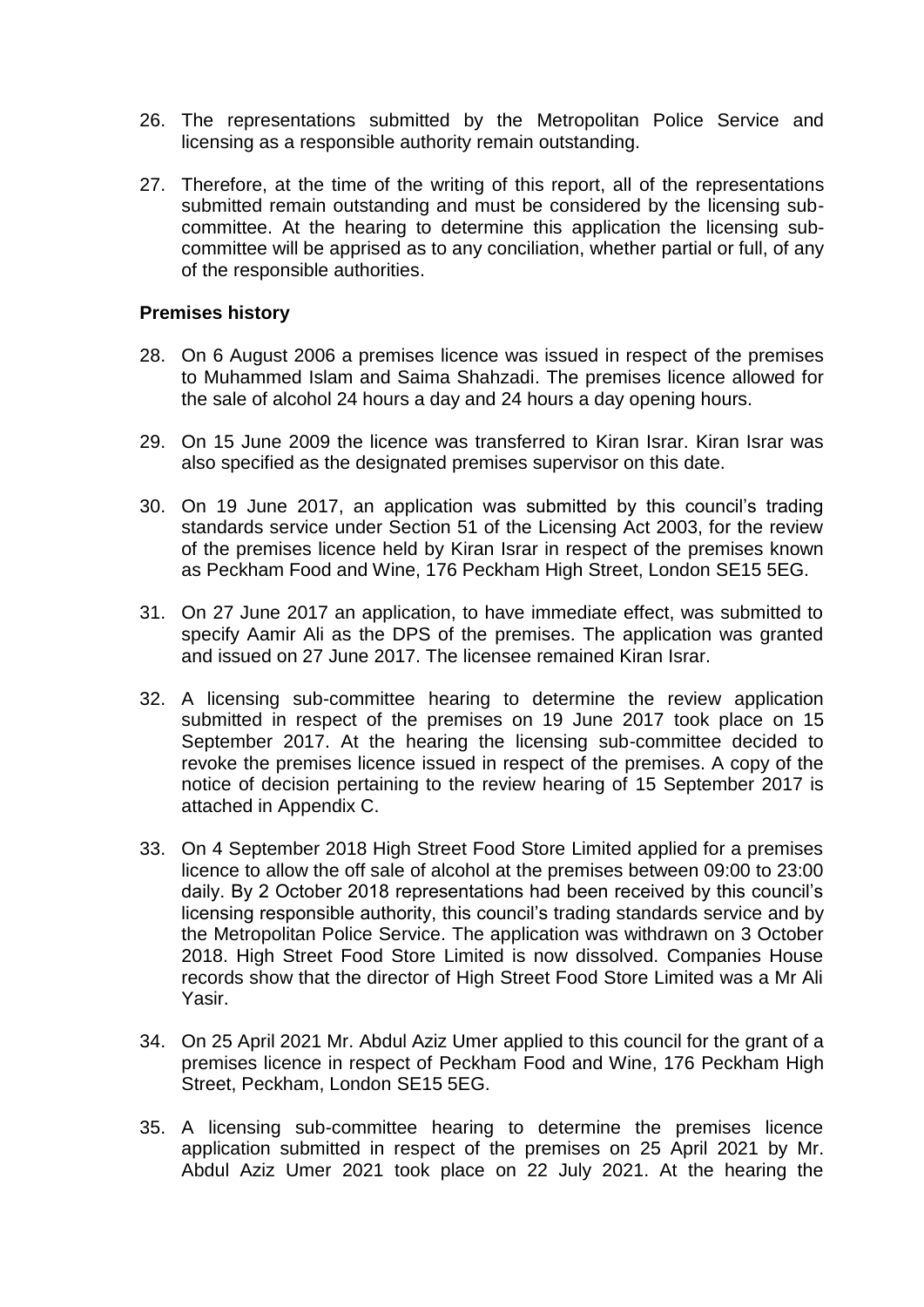- 26. The representations submitted by the Metropolitan Police Service and licensing as a responsible authority remain outstanding.
- 27. Therefore, at the time of the writing of this report, all of the representations submitted remain outstanding and must be considered by the licensing subcommittee. At the hearing to determine this application the licensing subcommittee will be apprised as to any conciliation, whether partial or full, of any of the responsible authorities.

#### **Premises history**

- 28. On 6 August 2006 a premises licence was issued in respect of the premises to Muhammed Islam and Saima Shahzadi. The premises licence allowed for the sale of alcohol 24 hours a day and 24 hours a day opening hours.
- 29. On 15 June 2009 the licence was transferred to Kiran Israr. Kiran Israr was also specified as the designated premises supervisor on this date.
- 30. On 19 June 2017, an application was submitted by this council's trading standards service under Section 51 of the Licensing Act 2003, for the review of the premises licence held by Kiran Israr in respect of the premises known as Peckham Food and Wine, 176 Peckham High Street, London SE15 5EG.
- 31. On 27 June 2017 an application, to have immediate effect, was submitted to specify Aamir Ali as the DPS of the premises. The application was granted and issued on 27 June 2017. The licensee remained Kiran Israr.
- 32. A licensing sub-committee hearing to determine the review application submitted in respect of the premises on 19 June 2017 took place on 15 September 2017. At the hearing the licensing sub-committee decided to revoke the premises licence issued in respect of the premises. A copy of the notice of decision pertaining to the review hearing of 15 September 2017 is attached in Appendix C.
- 33. On 4 September 2018 High Street Food Store Limited applied for a premises licence to allow the off sale of alcohol at the premises between 09:00 to 23:00 daily. By 2 October 2018 representations had been received by this council's licensing responsible authority, this council's trading standards service and by the Metropolitan Police Service. The application was withdrawn on 3 October 2018. High Street Food Store Limited is now dissolved. Companies House records show that the director of High Street Food Store Limited was a Mr Ali Yasir.
- 34. On 25 April 2021 Mr. Abdul Aziz Umer applied to this council for the grant of a premises licence in respect of Peckham Food and Wine, 176 Peckham High Street, Peckham, London SE15 5EG.
- 35. A licensing sub-committee hearing to determine the premises licence application submitted in respect of the premises on 25 April 2021 by Mr. Abdul Aziz Umer 2021 took place on 22 July 2021. At the hearing the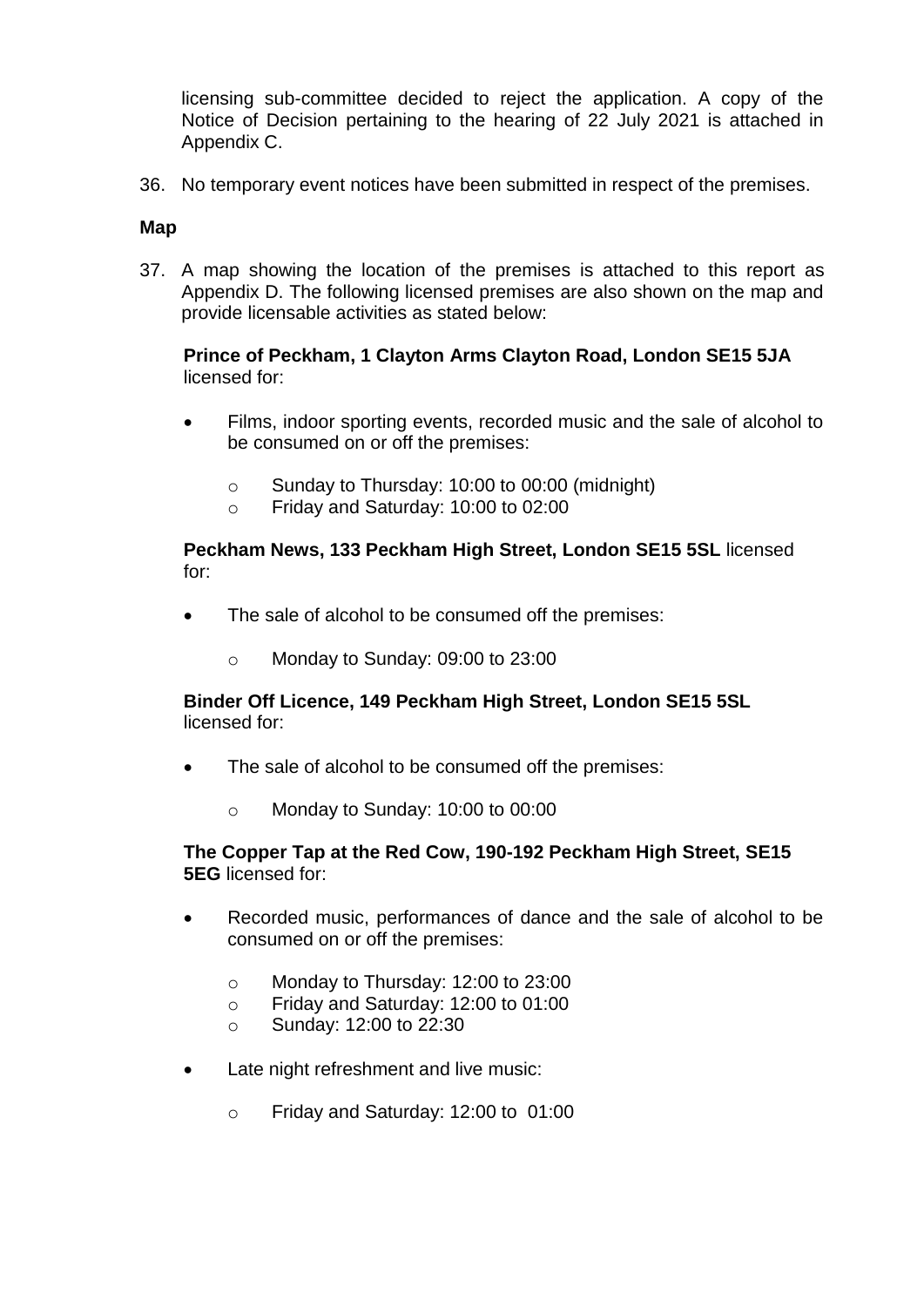licensing sub-committee decided to reject the application. A copy of the Notice of Decision pertaining to the hearing of 22 July 2021 is attached in Appendix C.

36. No temporary event notices have been submitted in respect of the premises.

## **Map**

37. A map showing the location of the premises is attached to this report as Appendix D. The following licensed premises are also shown on the map and provide licensable activities as stated below:

**Prince of Peckham, 1 Clayton Arms Clayton Road, London SE15 5JA** licensed for:

- Films, indoor sporting events, recorded music and the sale of alcohol to be consumed on or off the premises:
	- o Sunday to Thursday: 10:00 to 00:00 (midnight)
	- o Friday and Saturday: 10:00 to 02:00

**Peckham News, 133 Peckham High Street, London SE15 5SL** licensed for:

- The sale of alcohol to be consumed off the premises:
	- o Monday to Sunday: 09:00 to 23:00

## **Binder Off Licence, 149 Peckham High Street, London SE15 5SL**  licensed for:

- The sale of alcohol to be consumed off the premises:
	- o Monday to Sunday: 10:00 to 00:00

## **The Copper Tap at the Red Cow, 190-192 Peckham High Street, SE15 5EG** licensed for:

- Recorded music, performances of dance and the sale of alcohol to be consumed on or off the premises:
	- o Monday to Thursday: 12:00 to 23:00
	- o Friday and Saturday: 12:00 to 01:00
	- o Sunday: 12:00 to 22:30
- Late night refreshment and live music:
	- o Friday and Saturday: 12:00 to 01:00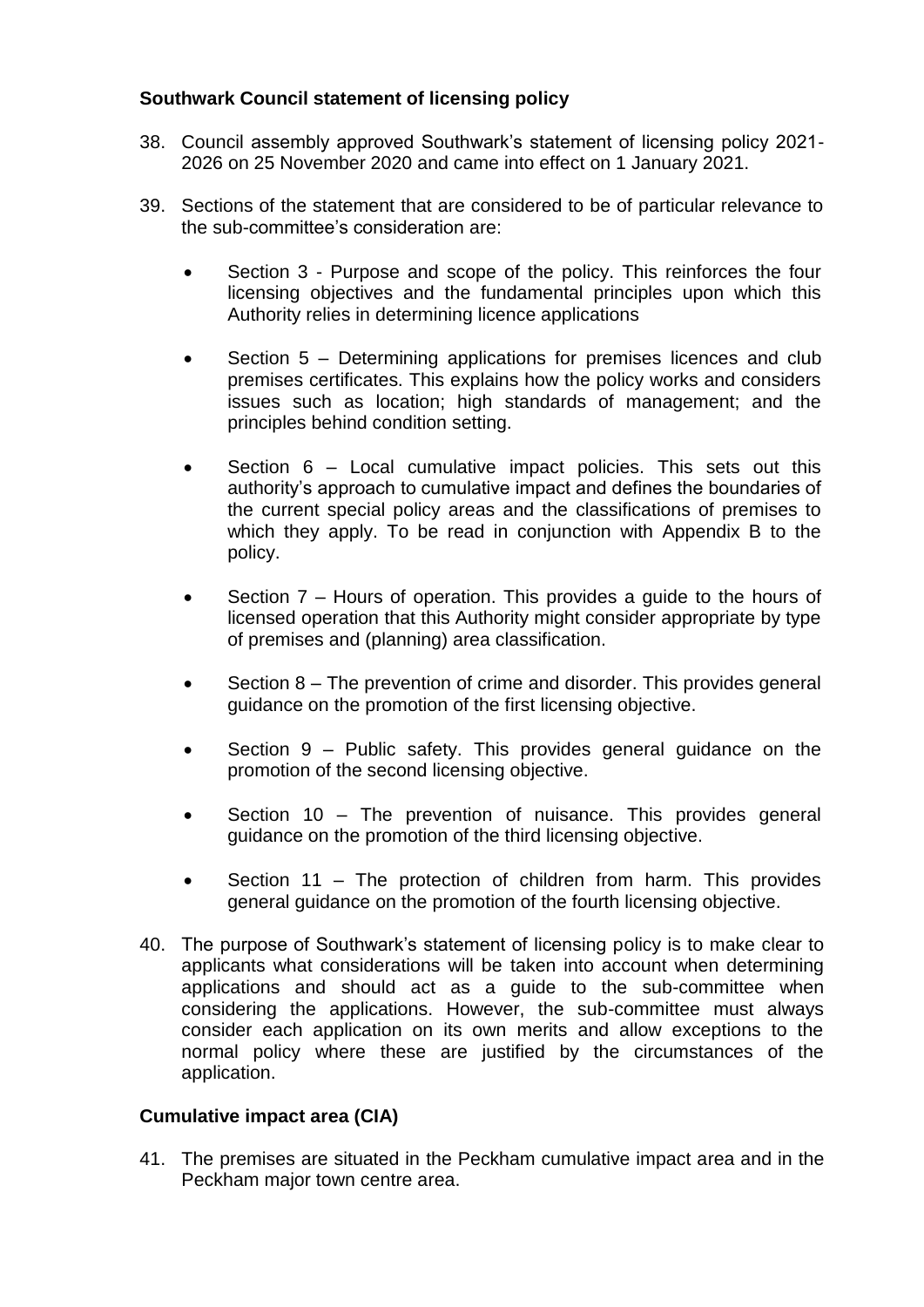## **Southwark Council statement of licensing policy**

- 38. Council assembly approved Southwark's statement of licensing policy 2021- 2026 on 25 November 2020 and came into effect on 1 January 2021.
- 39. Sections of the statement that are considered to be of particular relevance to the sub-committee's consideration are:
	- Section 3 Purpose and scope of the policy. This reinforces the four licensing objectives and the fundamental principles upon which this Authority relies in determining licence applications
	- Section 5 Determining applications for premises licences and club premises certificates. This explains how the policy works and considers issues such as location; high standards of management; and the principles behind condition setting.
	- Section 6 Local cumulative impact policies. This sets out this authority's approach to cumulative impact and defines the boundaries of the current special policy areas and the classifications of premises to which they apply. To be read in conjunction with Appendix B to the policy.
	- Section 7 Hours of operation. This provides a guide to the hours of licensed operation that this Authority might consider appropriate by type of premises and (planning) area classification.
	- Section 8 The prevention of crime and disorder. This provides general guidance on the promotion of the first licensing objective.
	- Section 9 Public safety. This provides general guidance on the promotion of the second licensing objective.
	- Section 10 The prevention of nuisance. This provides general guidance on the promotion of the third licensing objective.
	- Section 11 The protection of children from harm. This provides general guidance on the promotion of the fourth licensing objective.
- 40. The purpose of Southwark's statement of licensing policy is to make clear to applicants what considerations will be taken into account when determining applications and should act as a guide to the sub-committee when considering the applications. However, the sub-committee must always consider each application on its own merits and allow exceptions to the normal policy where these are justified by the circumstances of the application.

## **Cumulative impact area (CIA)**

41. The premises are situated in the Peckham cumulative impact area and in the Peckham major town centre area.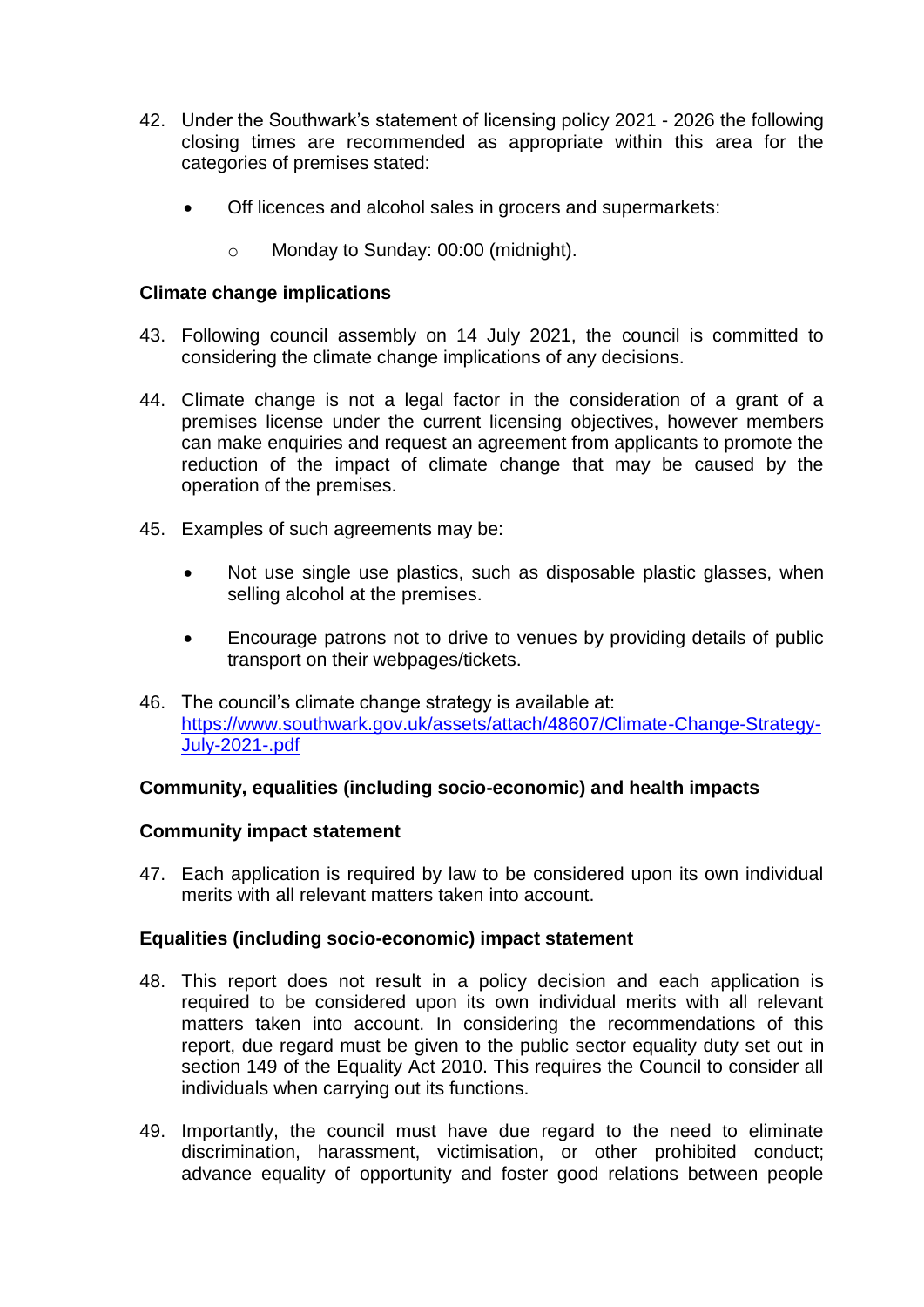- 42. Under the Southwark's statement of licensing policy 2021 2026 the following closing times are recommended as appropriate within this area for the categories of premises stated:
	- Off licences and alcohol sales in grocers and supermarkets:
		- o Monday to Sunday: 00:00 (midnight).

## **Climate change implications**

- 43. Following council assembly on 14 July 2021, the council is committed to considering the climate change implications of any decisions.
- 44. Climate change is not a legal factor in the consideration of a grant of a premises license under the current licensing objectives, however members can make enquiries and request an agreement from applicants to promote the reduction of the impact of climate change that may be caused by the operation of the premises.
- 45. Examples of such agreements may be:
	- Not use single use plastics, such as disposable plastic glasses, when selling alcohol at the premises.
	- Encourage patrons not to drive to venues by providing details of public transport on their webpages/tickets.
- 46. The council's climate change strategy is available at: [https://www.southwark.gov.uk/assets/attach/48607/Climate-Change-Strategy-](https://www.southwark.gov.uk/assets/attach/48607/Climate-Change-Strategy-July-2021-.pdf)[July-2021-.pdf](https://www.southwark.gov.uk/assets/attach/48607/Climate-Change-Strategy-July-2021-.pdf)

## **Community, equalities (including socio-economic) and health impacts**

## **Community impact statement**

47. Each application is required by law to be considered upon its own individual merits with all relevant matters taken into account.

## **Equalities (including socio-economic) impact statement**

- 48. This report does not result in a policy decision and each application is required to be considered upon its own individual merits with all relevant matters taken into account. In considering the recommendations of this report, due regard must be given to the public sector equality duty set out in section 149 of the Equality Act 2010. This requires the Council to consider all individuals when carrying out its functions.
- 49. Importantly, the council must have due regard to the need to eliminate discrimination, harassment, victimisation, or other prohibited conduct; advance equality of opportunity and foster good relations between people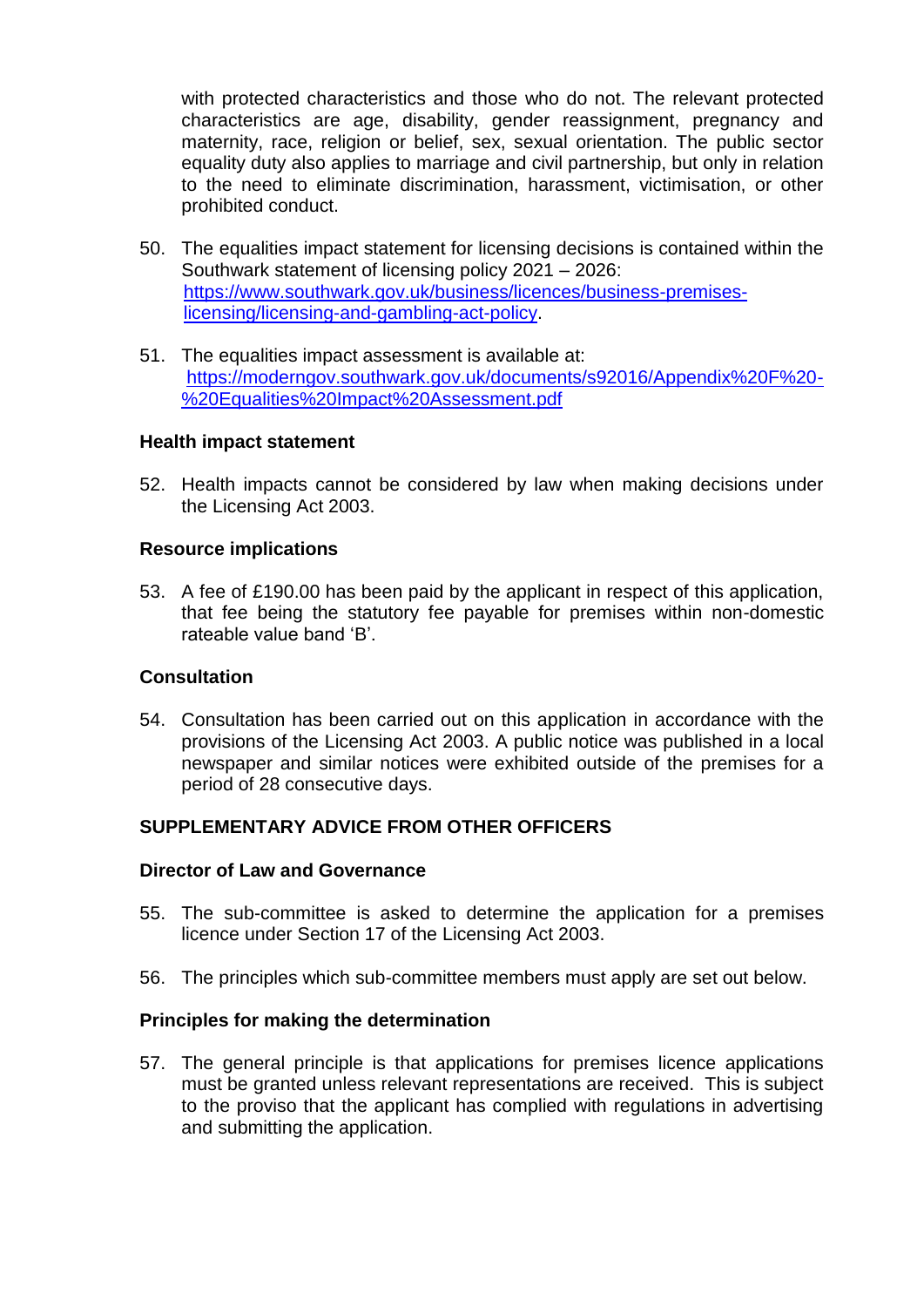with protected characteristics and those who do not. The relevant protected characteristics are age, disability, gender reassignment, pregnancy and maternity, race, religion or belief, sex, sexual orientation. The public sector equality duty also applies to marriage and civil partnership, but only in relation to the need to eliminate discrimination, harassment, victimisation, or other prohibited conduct.

- 50. The equalities impact statement for licensing decisions is contained within the Southwark statement of licensing policy 2021 – 2026: [https://www.southwark.gov.uk/business/licences/business-premises](https://www.southwark.gov.uk/business/licences/business-premises-licensing/licensing-and-gambling-act-policy)[licensing/licensing-and-gambling-act-policy.](https://www.southwark.gov.uk/business/licences/business-premises-licensing/licensing-and-gambling-act-policy)
- 51. The equalities impact assessment is available at: [https://moderngov.southwark.gov.uk/documents/s92016/Appendix%20F%20-](https://moderngov.southwark.gov.uk/documents/s92016/Appendix%20F%20-%20Equalities%20Impact%20Assessment.pdf) [%20Equalities%20Impact%20Assessment.pdf](https://moderngov.southwark.gov.uk/documents/s92016/Appendix%20F%20-%20Equalities%20Impact%20Assessment.pdf)

#### **Health impact statement**

52. Health impacts cannot be considered by law when making decisions under the Licensing Act 2003.

#### **Resource implications**

53. A fee of £190.00 has been paid by the applicant in respect of this application, that fee being the statutory fee payable for premises within non-domestic rateable value band 'B'.

## **Consultation**

54. Consultation has been carried out on this application in accordance with the provisions of the Licensing Act 2003. A public notice was published in a local newspaper and similar notices were exhibited outside of the premises for a period of 28 consecutive days.

## **SUPPLEMENTARY ADVICE FROM OTHER OFFICERS**

## **Director of Law and Governance**

- 55. The sub-committee is asked to determine the application for a premises licence under Section 17 of the Licensing Act 2003.
- 56. The principles which sub-committee members must apply are set out below.

#### **Principles for making the determination**

57. The general principle is that applications for premises licence applications must be granted unless relevant representations are received. This is subject to the proviso that the applicant has complied with regulations in advertising and submitting the application.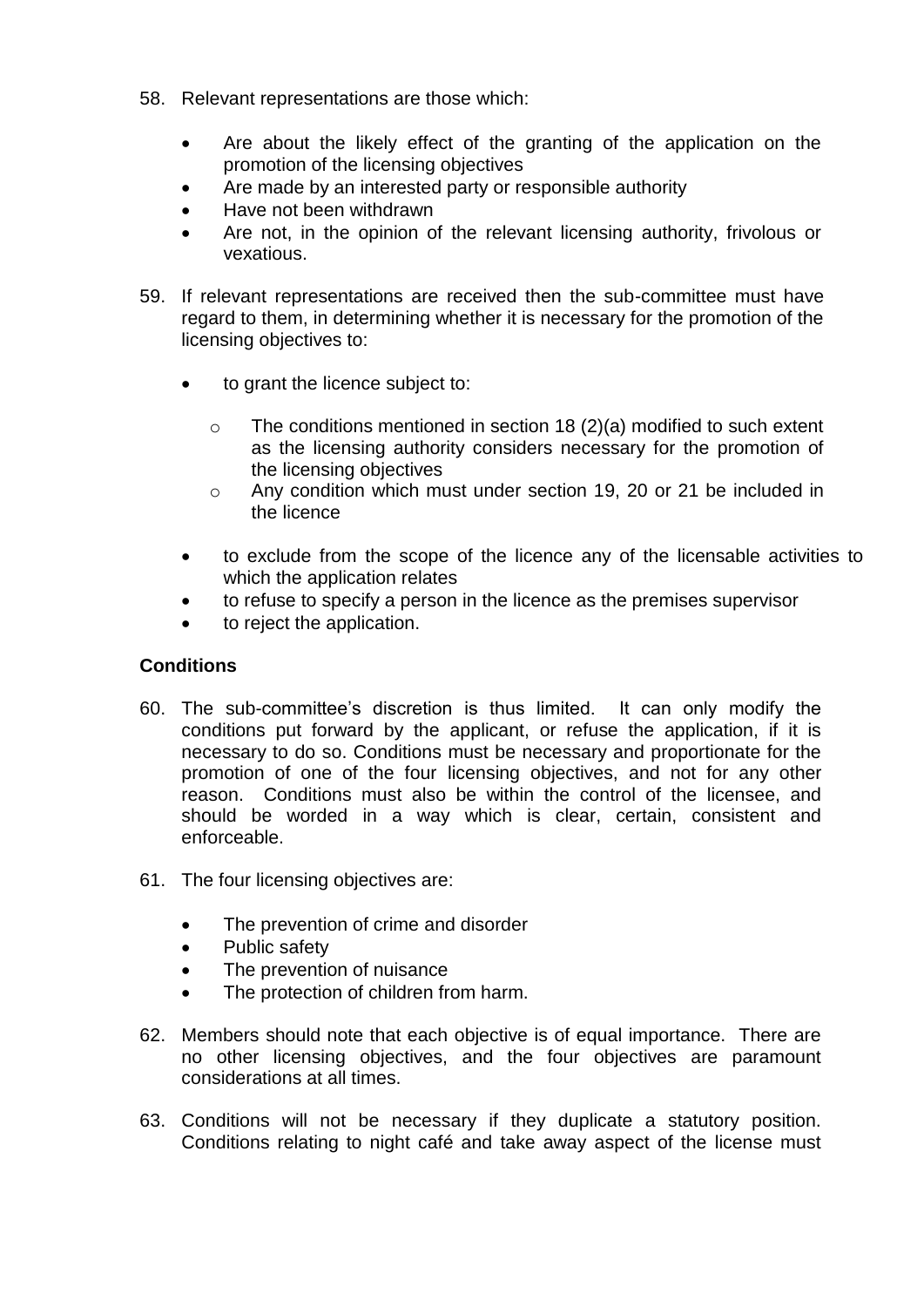- 58. Relevant representations are those which:
	- Are about the likely effect of the granting of the application on the promotion of the licensing objectives
	- Are made by an interested party or responsible authority
	- Have not been withdrawn
	- Are not, in the opinion of the relevant licensing authority, frivolous or vexatious.
- 59. If relevant representations are received then the sub-committee must have regard to them, in determining whether it is necessary for the promotion of the licensing objectives to:
	- to grant the licence subject to:
		- $\circ$  The conditions mentioned in section 18 (2)(a) modified to such extent as the licensing authority considers necessary for the promotion of the licensing objectives
		- o Any condition which must under section 19, 20 or 21 be included in the licence
	- to exclude from the scope of the licence any of the licensable activities to which the application relates
	- to refuse to specify a person in the licence as the premises supervisor
	- to reject the application.

## **Conditions**

- 60. The sub-committee's discretion is thus limited. It can only modify the conditions put forward by the applicant, or refuse the application, if it is necessary to do so. Conditions must be necessary and proportionate for the promotion of one of the four licensing objectives, and not for any other reason. Conditions must also be within the control of the licensee, and should be worded in a way which is clear, certain, consistent and enforceable.
- 61. The four licensing objectives are:
	- The prevention of crime and disorder
	- Public safety
	- The prevention of nuisance
	- The protection of children from harm.
- 62. Members should note that each objective is of equal importance. There are no other licensing objectives, and the four objectives are paramount considerations at all times.
- 63. Conditions will not be necessary if they duplicate a statutory position. Conditions relating to night café and take away aspect of the license must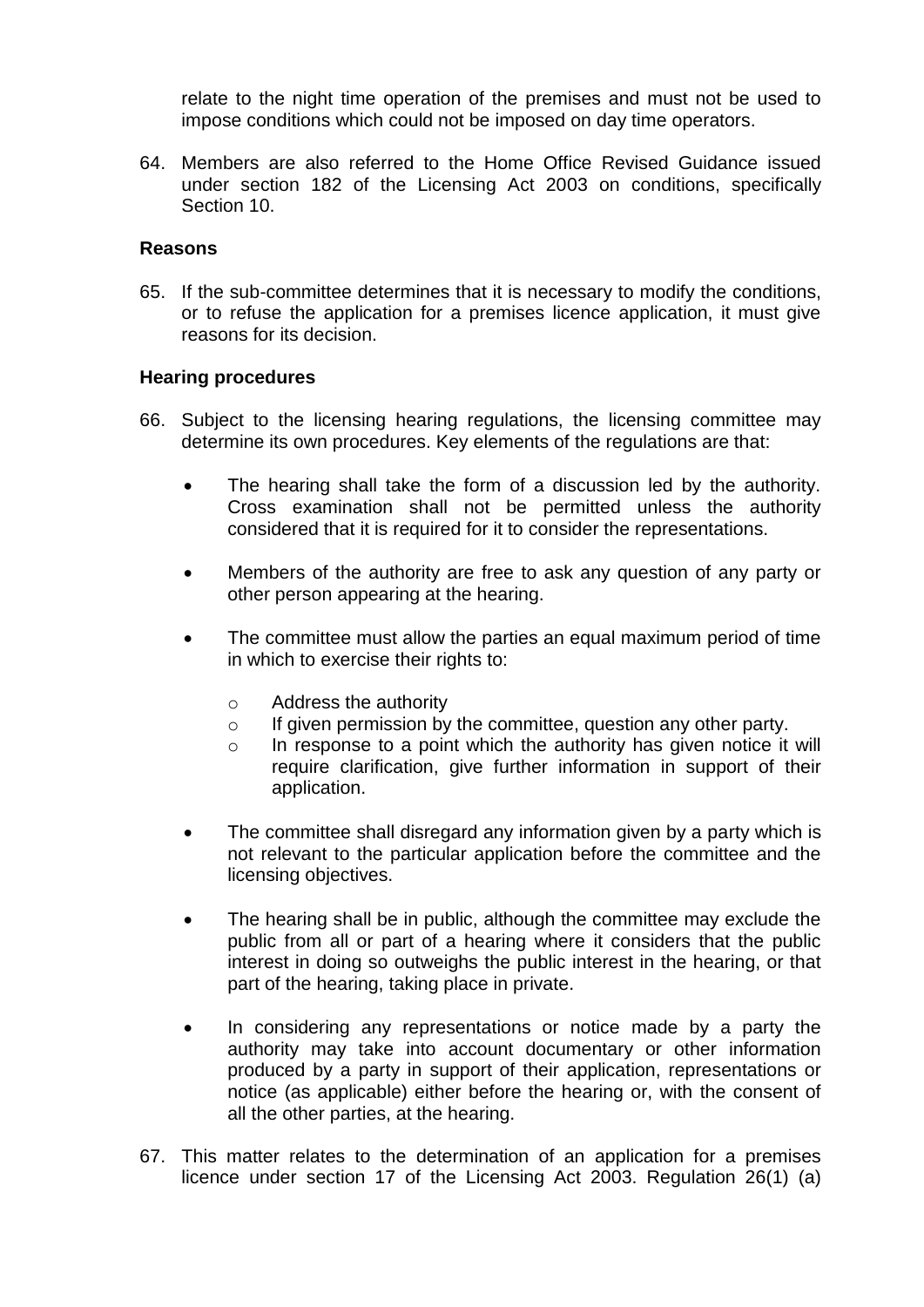relate to the night time operation of the premises and must not be used to impose conditions which could not be imposed on day time operators.

64. Members are also referred to the Home Office Revised Guidance issued under section 182 of the Licensing Act 2003 on conditions, specifically Section 10.

#### **Reasons**

65. If the sub-committee determines that it is necessary to modify the conditions, or to refuse the application for a premises licence application, it must give reasons for its decision.

## **Hearing procedures**

- 66. Subject to the licensing hearing regulations, the licensing committee may determine its own procedures. Key elements of the regulations are that:
	- The hearing shall take the form of a discussion led by the authority. Cross examination shall not be permitted unless the authority considered that it is required for it to consider the representations.
	- Members of the authority are free to ask any question of any party or other person appearing at the hearing.
	- The committee must allow the parties an equal maximum period of time in which to exercise their rights to:
		- o Address the authority
		- o If given permission by the committee, question any other party.
		- o In response to a point which the authority has given notice it will require clarification, give further information in support of their application.
	- The committee shall disregard any information given by a party which is not relevant to the particular application before the committee and the licensing objectives.
	- The hearing shall be in public, although the committee may exclude the public from all or part of a hearing where it considers that the public interest in doing so outweighs the public interest in the hearing, or that part of the hearing, taking place in private.
	- In considering any representations or notice made by a party the authority may take into account documentary or other information produced by a party in support of their application, representations or notice (as applicable) either before the hearing or, with the consent of all the other parties, at the hearing.
- 67. This matter relates to the determination of an application for a premises licence under section 17 of the Licensing Act 2003. Regulation 26(1) (a)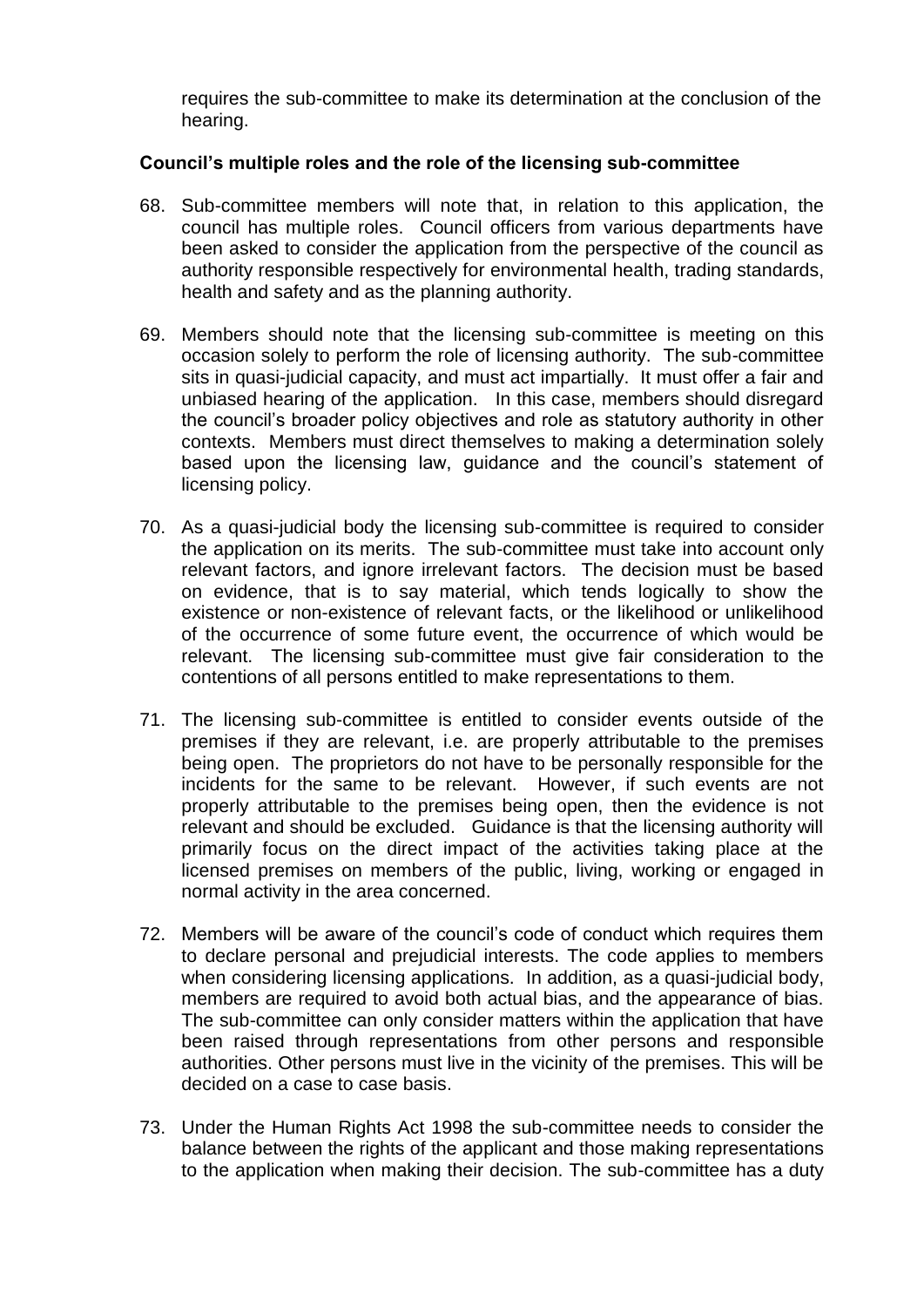requires the sub-committee to make its determination at the conclusion of the hearing.

## **Council's multiple roles and the role of the licensing sub-committee**

- 68. Sub-committee members will note that, in relation to this application, the council has multiple roles. Council officers from various departments have been asked to consider the application from the perspective of the council as authority responsible respectively for environmental health, trading standards, health and safety and as the planning authority.
- 69. Members should note that the licensing sub-committee is meeting on this occasion solely to perform the role of licensing authority. The sub-committee sits in quasi-judicial capacity, and must act impartially. It must offer a fair and unbiased hearing of the application. In this case, members should disregard the council's broader policy objectives and role as statutory authority in other contexts. Members must direct themselves to making a determination solely based upon the licensing law, guidance and the council's statement of licensing policy.
- 70. As a quasi-judicial body the licensing sub-committee is required to consider the application on its merits. The sub-committee must take into account only relevant factors, and ignore irrelevant factors. The decision must be based on evidence, that is to say material, which tends logically to show the existence or non-existence of relevant facts, or the likelihood or unlikelihood of the occurrence of some future event, the occurrence of which would be relevant. The licensing sub-committee must give fair consideration to the contentions of all persons entitled to make representations to them.
- 71. The licensing sub-committee is entitled to consider events outside of the premises if they are relevant, i.e. are properly attributable to the premises being open. The proprietors do not have to be personally responsible for the incidents for the same to be relevant. However, if such events are not properly attributable to the premises being open, then the evidence is not relevant and should be excluded. Guidance is that the licensing authority will primarily focus on the direct impact of the activities taking place at the licensed premises on members of the public, living, working or engaged in normal activity in the area concerned.
- 72. Members will be aware of the council's code of conduct which requires them to declare personal and prejudicial interests. The code applies to members when considering licensing applications. In addition, as a quasi-judicial body, members are required to avoid both actual bias, and the appearance of bias. The sub-committee can only consider matters within the application that have been raised through representations from other persons and responsible authorities. Other persons must live in the vicinity of the premises. This will be decided on a case to case basis.
- 73. Under the Human Rights Act 1998 the sub-committee needs to consider the balance between the rights of the applicant and those making representations to the application when making their decision. The sub-committee has a duty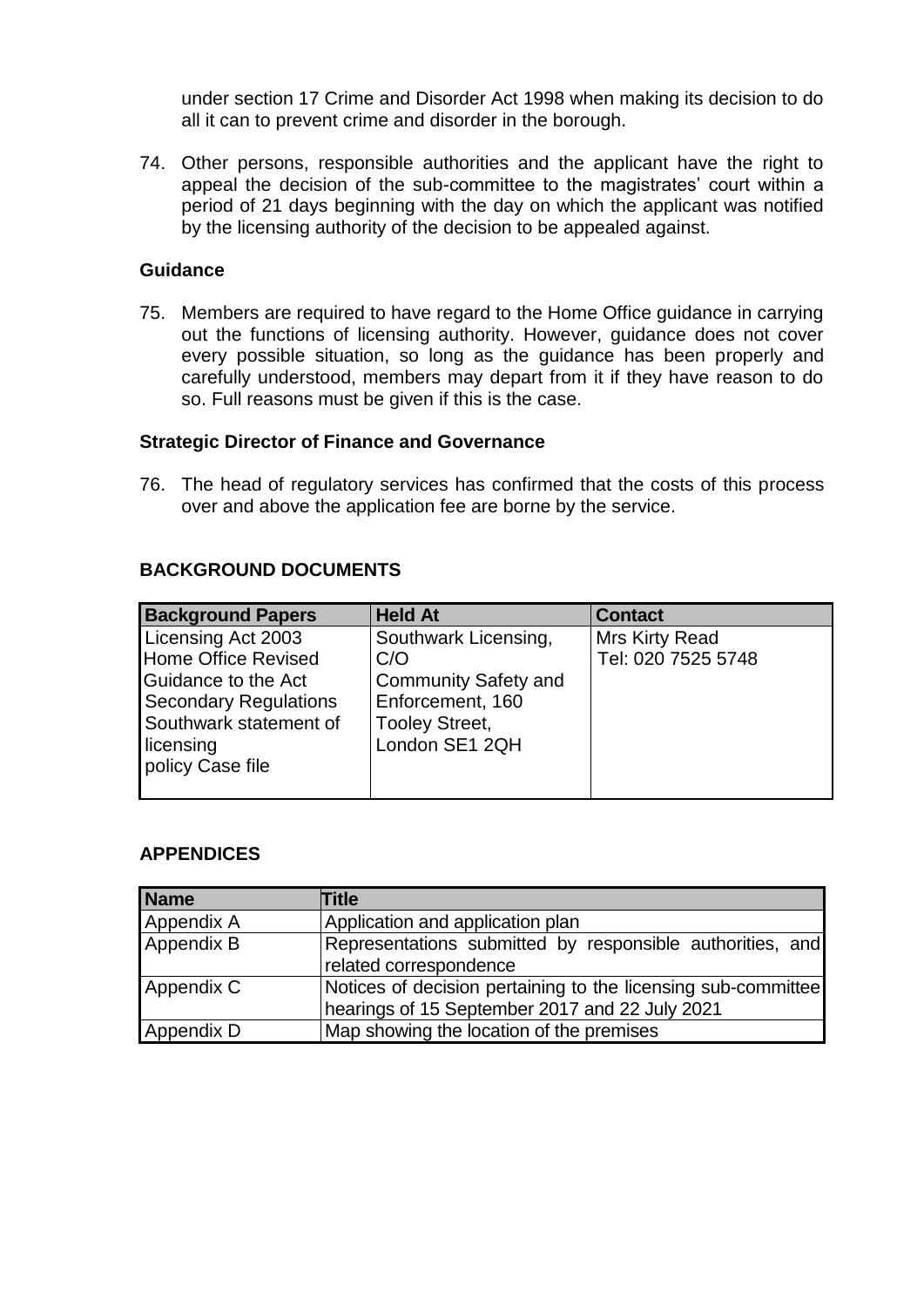under section 17 Crime and Disorder Act 1998 when making its decision to do all it can to prevent crime and disorder in the borough.

74. Other persons, responsible authorities and the applicant have the right to appeal the decision of the sub-committee to the magistrates' court within a period of 21 days beginning with the day on which the applicant was notified by the licensing authority of the decision to be appealed against.

#### **Guidance**

75. Members are required to have regard to the Home Office guidance in carrying out the functions of licensing authority. However, guidance does not cover every possible situation, so long as the guidance has been properly and carefully understood, members may depart from it if they have reason to do so. Full reasons must be given if this is the case.

#### **Strategic Director of Finance and Governance**

76. The head of regulatory services has confirmed that the costs of this process over and above the application fee are borne by the service.

## **BACKGROUND DOCUMENTS**

| <b>Background Papers</b>     | <b>Held At</b>              | <b>Contact</b>     |
|------------------------------|-----------------------------|--------------------|
| Licensing Act 2003           | Southwark Licensing,        | Mrs Kirty Read     |
| <b>Home Office Revised</b>   | C/O                         | Tel: 020 7525 5748 |
| Guidance to the Act          | <b>Community Safety and</b> |                    |
| <b>Secondary Regulations</b> | Enforcement, 160            |                    |
| Southwark statement of       | <b>Tooley Street,</b>       |                    |
| licensing                    | London SE1 2QH              |                    |
| policy Case file             |                             |                    |
|                              |                             |                    |

## **APPENDICES**

| Name       | <b>Title</b>                                                  |  |  |  |
|------------|---------------------------------------------------------------|--|--|--|
| Appendix A | Application and application plan                              |  |  |  |
| Appendix B | Representations submitted by responsible authorities, and     |  |  |  |
|            | related correspondence                                        |  |  |  |
| Appendix C | Notices of decision pertaining to the licensing sub-committee |  |  |  |
|            | hearings of 15 September 2017 and 22 July 2021                |  |  |  |
| Appendix D | Map showing the location of the premises                      |  |  |  |